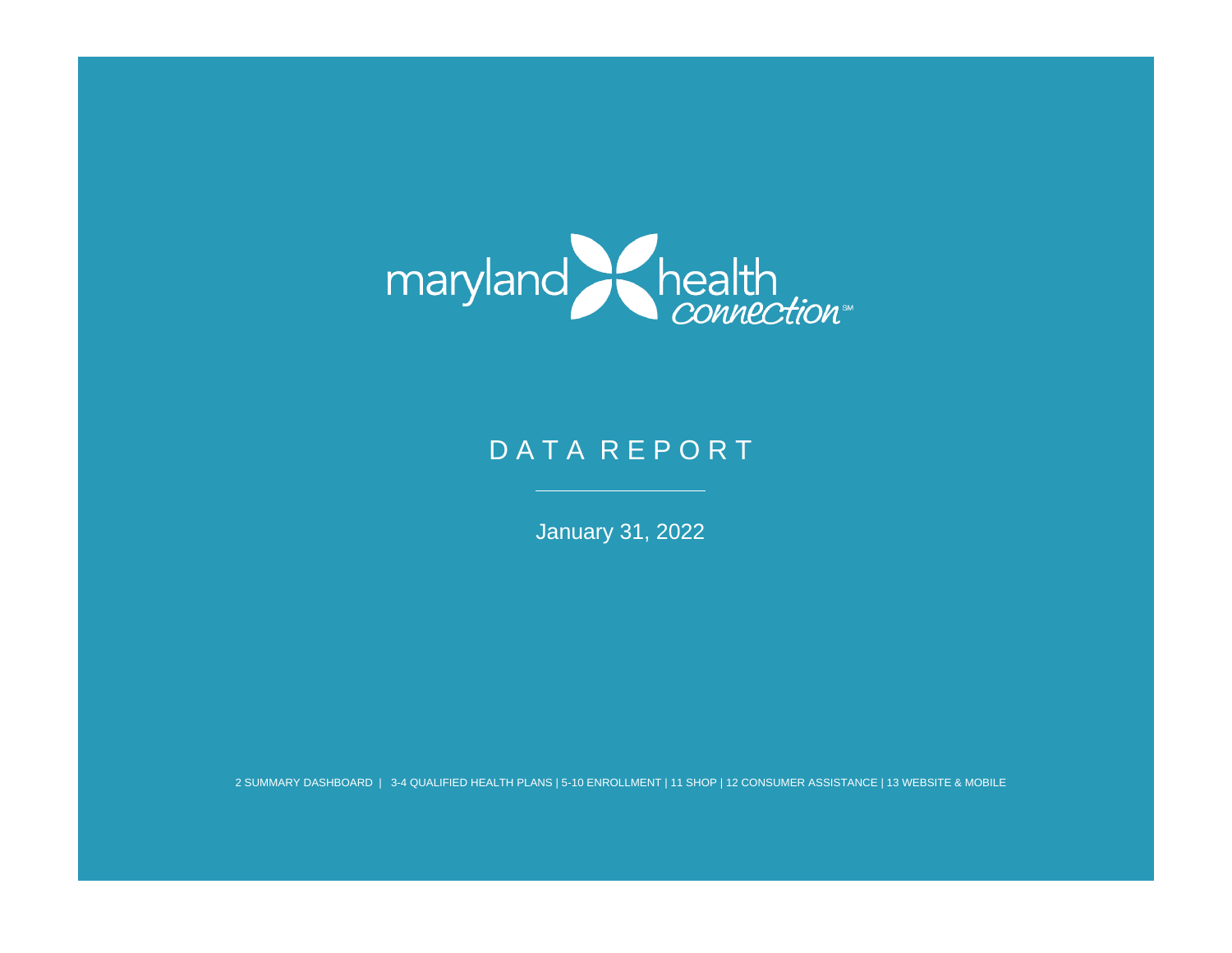

# DATA REPORT

January 31, 2022

2 SUMMARY DASHBOARD | 3-4 QUALIFIED HEALTH PLANS | 5-10 ENROLLMENT | 11 SHOP | 12 CONSUMER ASSISTANCE | 13 WEBSITE & MOBILE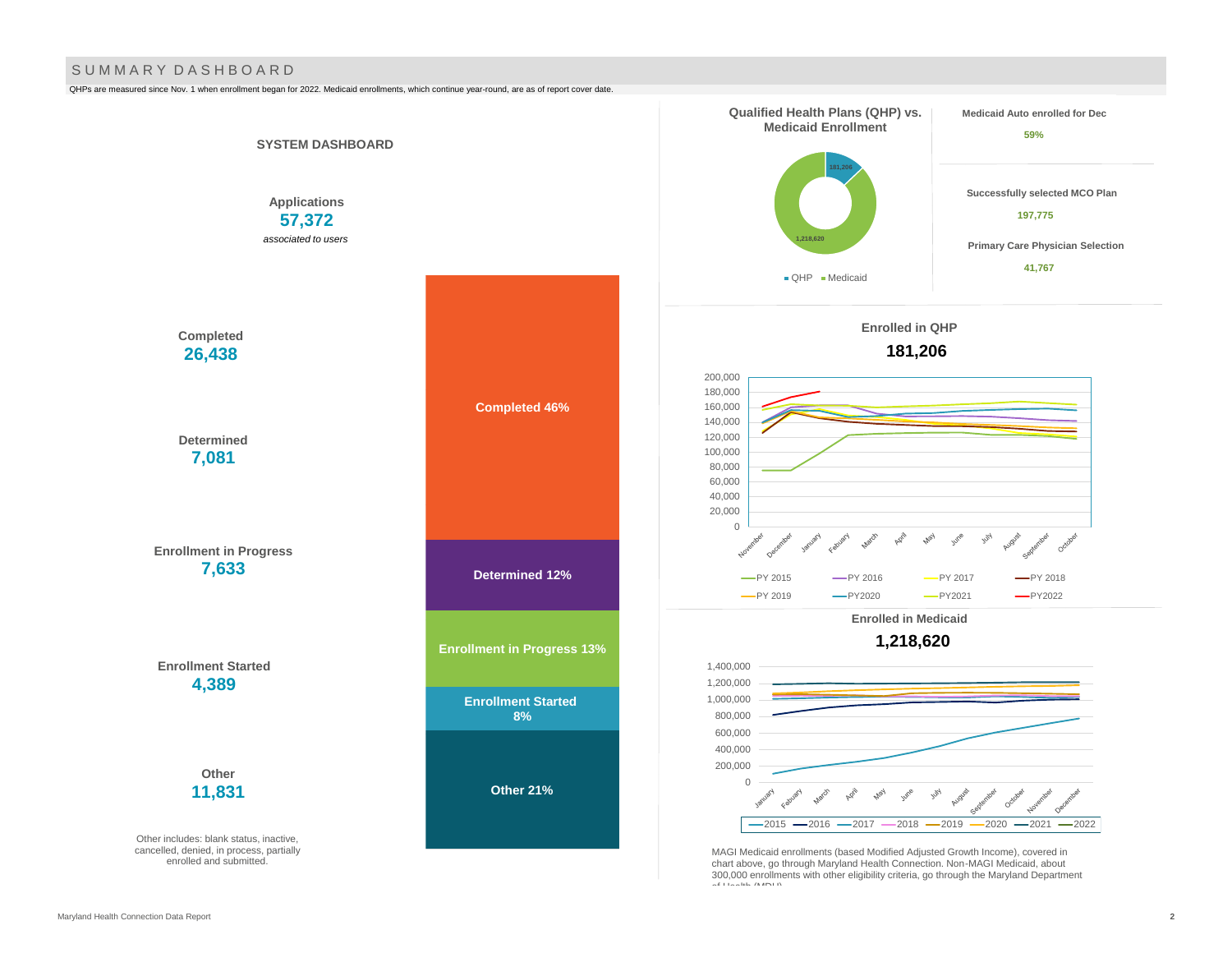#### S U M M A R Y D A S H B O A R D

QHPs are measured since Nov. 1 when enrollment began for 2022. Medicaid enrollments, which continue year-round, are as of report cover date.

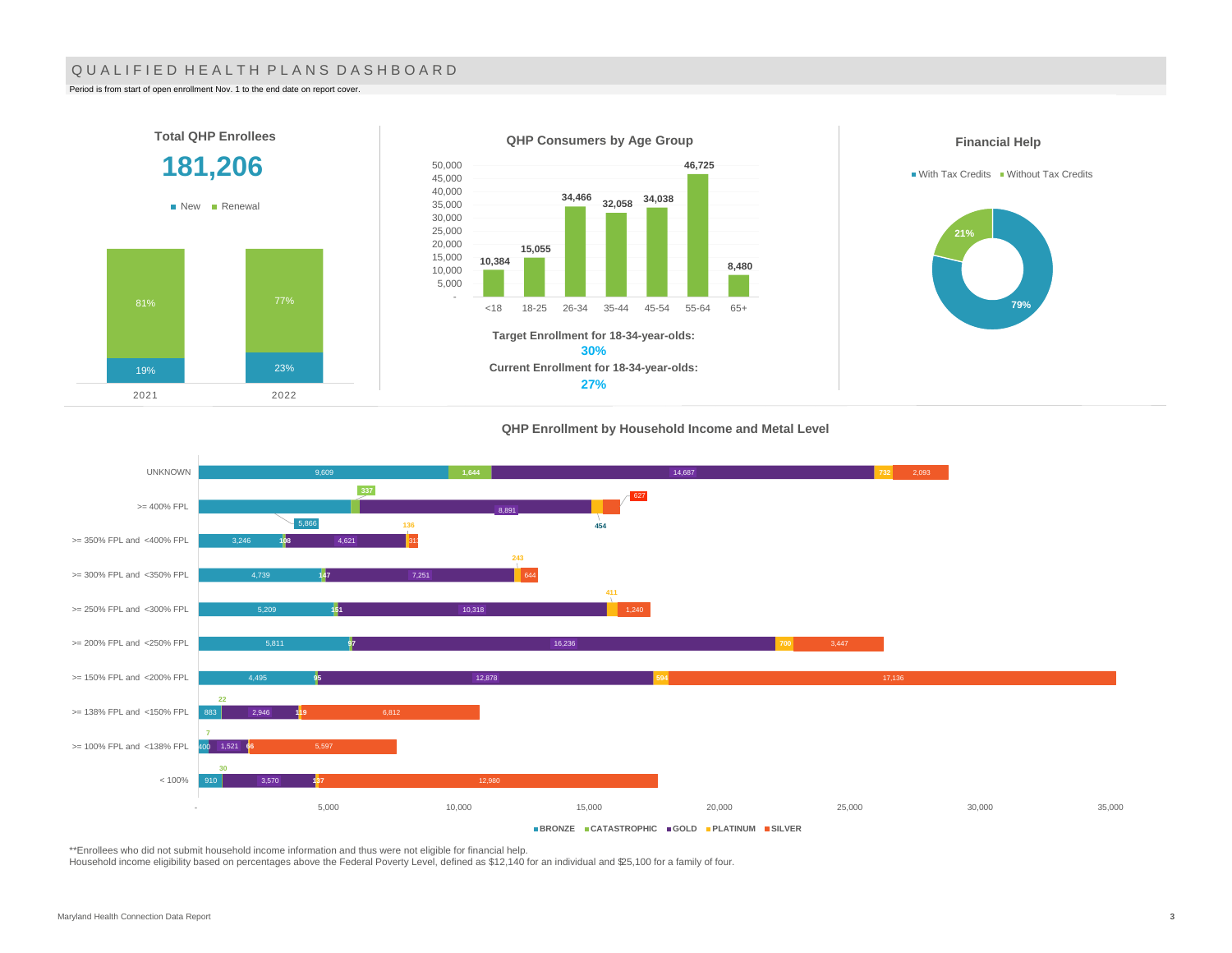#### QUALIFIED HEALTH PLANS DASHBOARD

Period is from start of open enrollment Nov. 1 to the end date on report cover.

2021 2022



#### **QHP Enrollment by Household Income and Metal Level**



\*\*Enrollees who did not submit household income information and thus were not eligible for financial help.

Household income eligibility based on percentages above the Federal Poverty Level, defined as \$12,140 for an individual and \$25,100 for a family of four.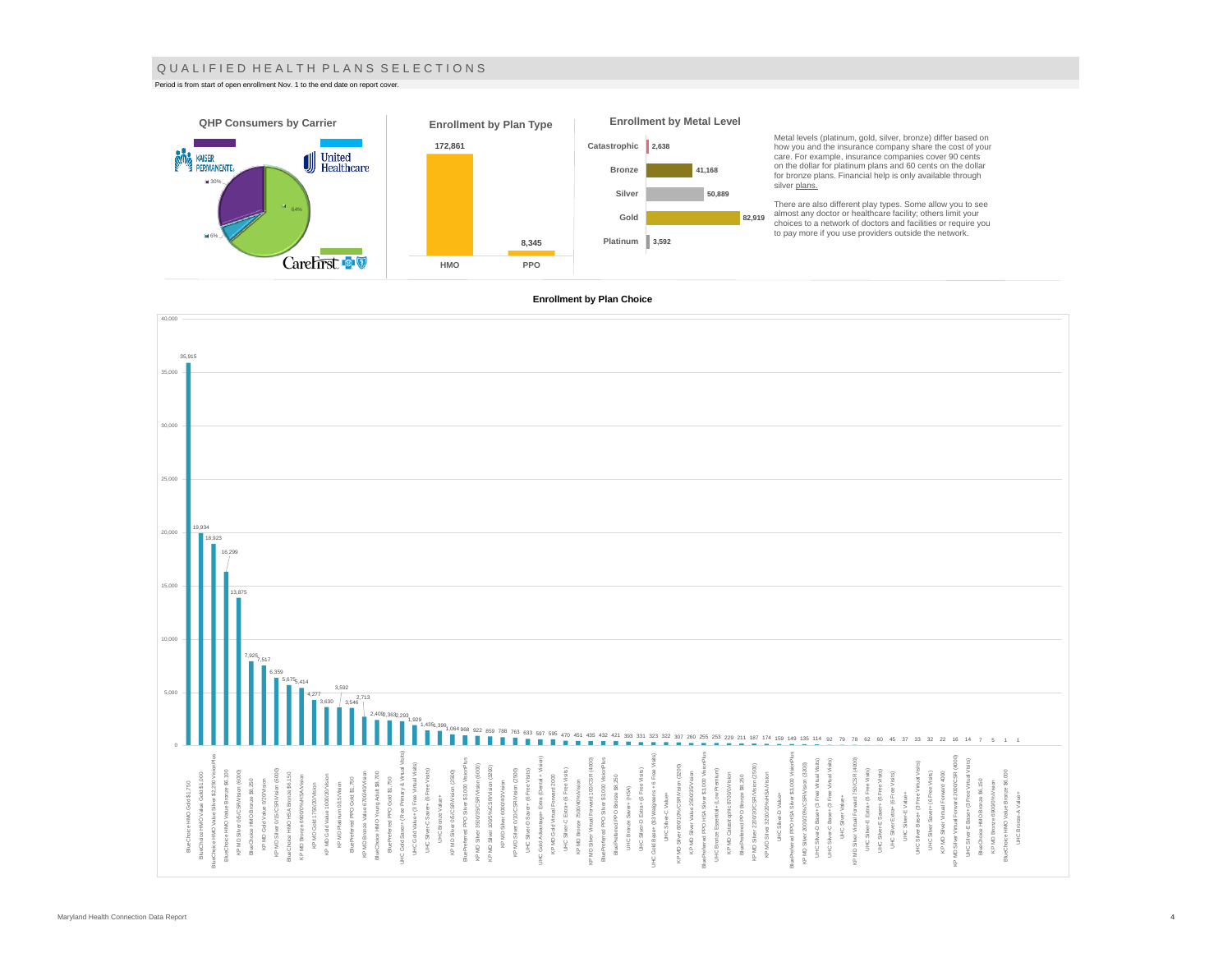#### Q U A L I F I E D H E A L T H P L A N S S E L E C T I O N S

Period is from start of open enrollment Nov. 1 to the end date on report cover.



#### **Enrollment by Plan Choice**

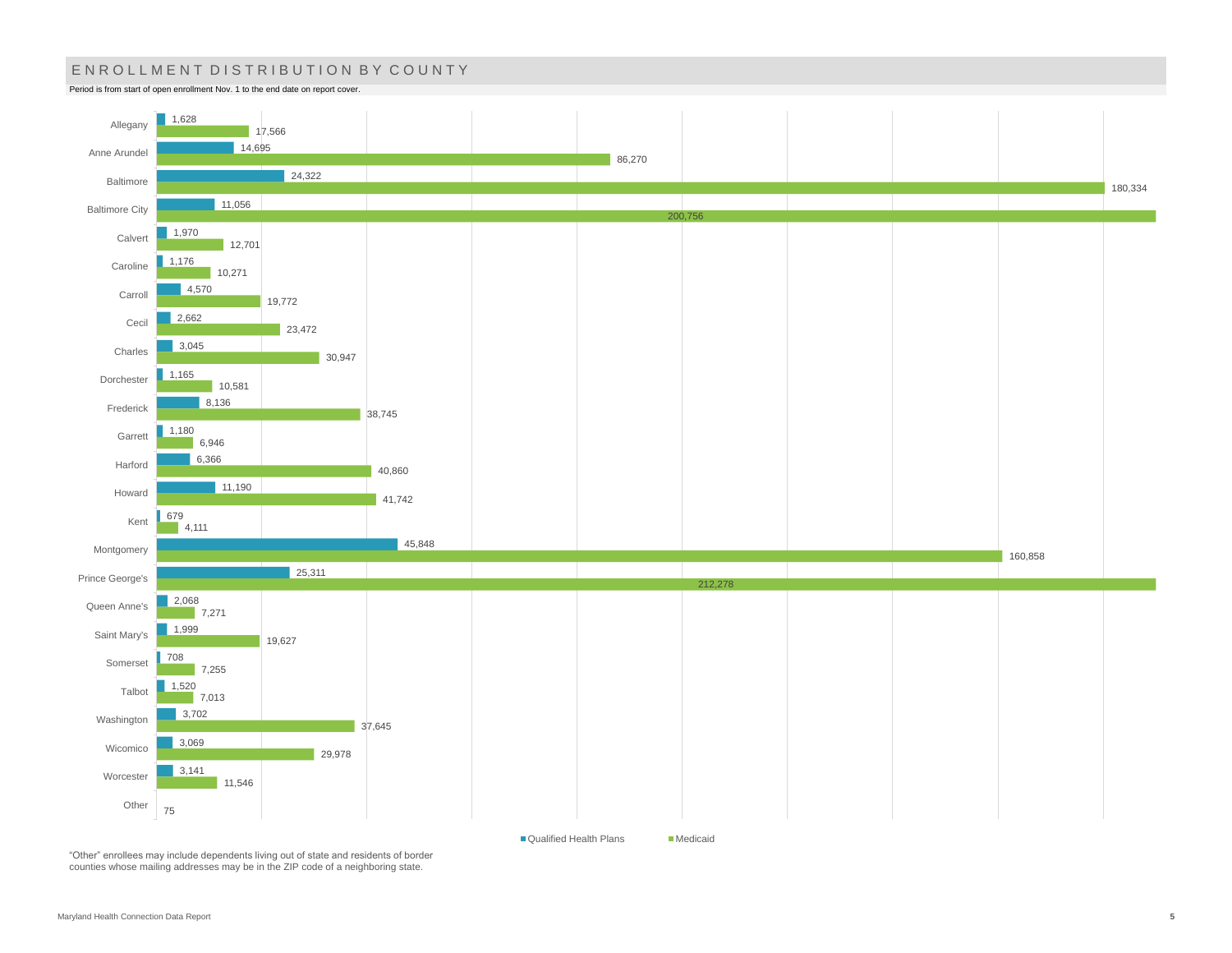# ENROLLMENT DISTRIBUTION BY COUNTY

Period is from start of open enrollment Nov. 1 to the end date on report cover.



"Other" enrollees may include dependents living out of state and residents of border counties whose mailing addresses may be in the ZIP code of a neighboring state.

■ Qualified Health Plans Medicaid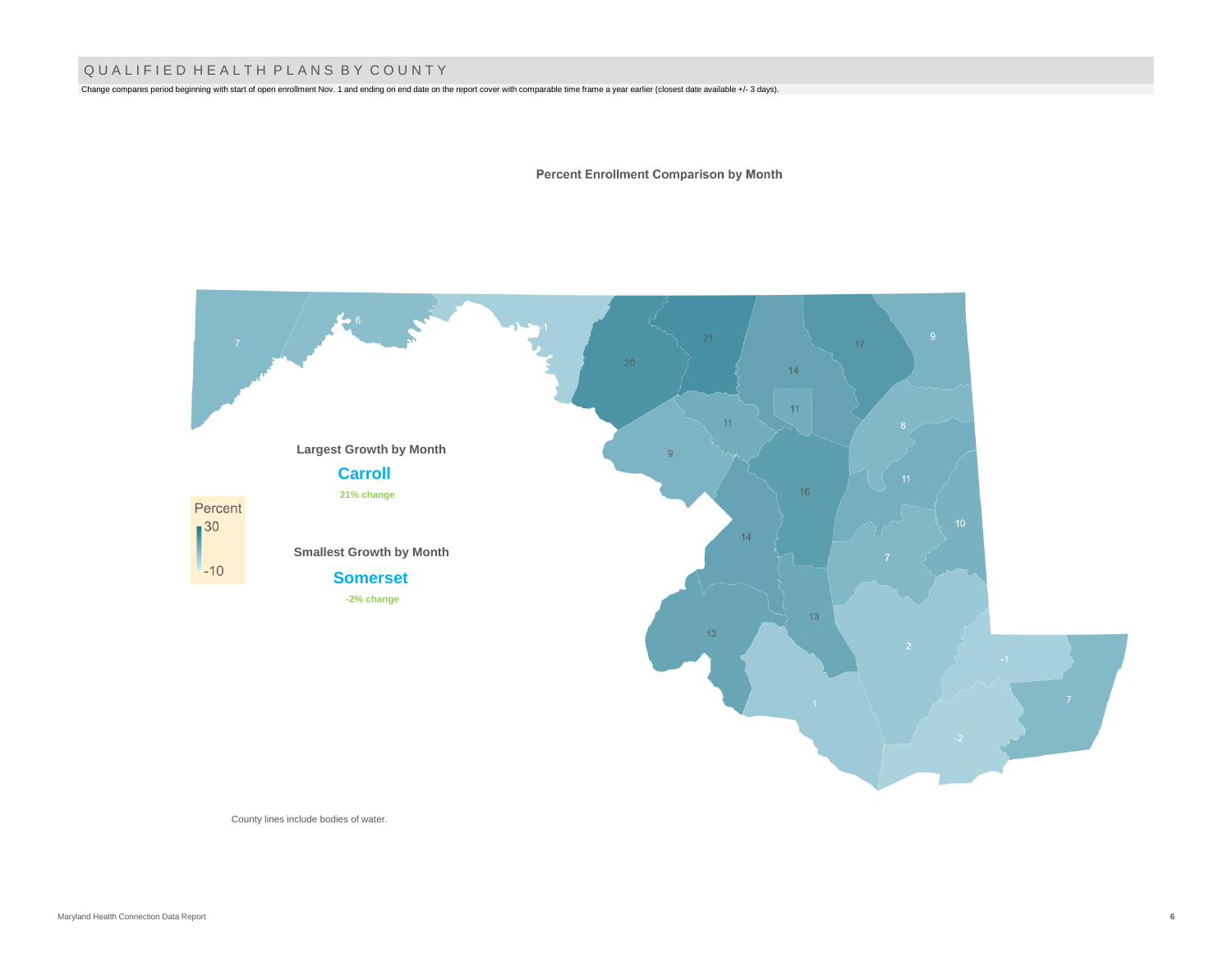## Q U A L I F I E D H E A L T H P L A N S B Y C O U N T Y

Change compares period beginning with start of open enrollment Nov. 1 and ending on end date on the report cover with comparable time frame a year earlier (closest date available +/- 3 days).

**Percent Enrollment Comparison by Month** 



County lines include bodies of water.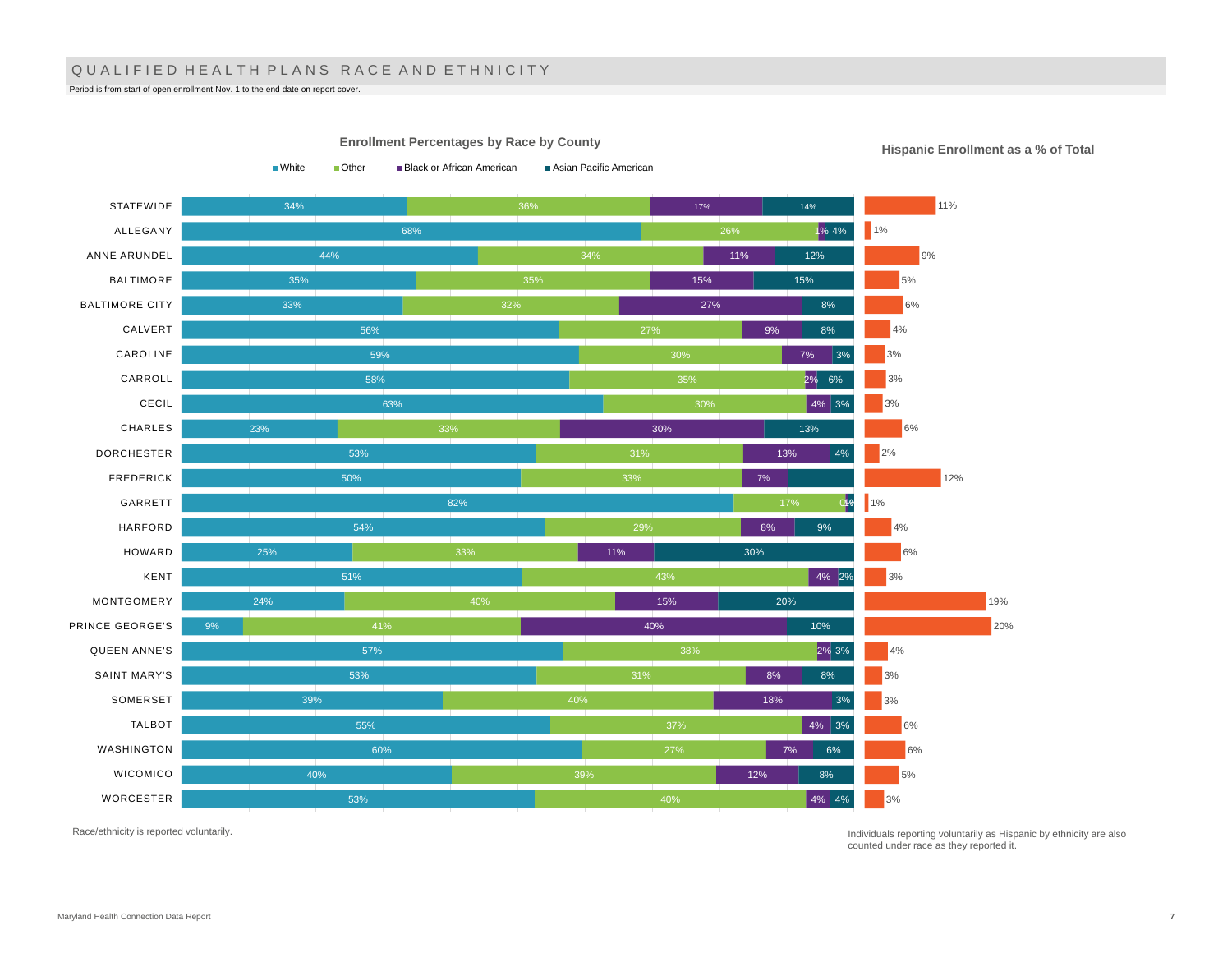### QUALIFIED HEALTH PLANS RACE AND ETHNICITY

Period is from start of open enrollment Nov. 1 to the end date on report cover.

34% 68% 44% 35% 33% 56% 59% 58% 63% 23% 53% 50% 82% 54% 25% 51% 24% 9% 57% 53% 39% 55% 60% 40% 53% 34% 32% 27% 30% 29% 40% 41% 40% 37% 27% 39% 17% 1% 4% 11% 15% 27% 9% 7% 2% 6% 4% 3% 30% 13% 0% 1% 8% 11% 4% 2% 15% 40% 2% 3% 8% 18% 4% 3% 7% 12% 4% 4% 14% 12% 15% 8% 8% 3% 13%  $4%$ 9% 30% 20% 10% 8% 3% 6% 8% **STATEWIDE** ALLEGANY ANNE ARUNDEL BALTIMORE BALTIMORE CITY CALVERT CAROLINE CARROLL CECIL CHARLES DORCHESTER FREDERICK GARRETT HARFORD HOWARD KENT MONTGOMERY PRINCE GEORGE'S QUEEN ANNE'S SAINT MARY'S SOMERSET TALBOT WASHINGTON WICOMICO WORCESTER 11%  $1%$ 9% 5% 6%  $4%$ 3% 3% 3% 6% 2% 12% 1% 4% 6%  $3%$ 19% 20% 4% 3% 3% 6% 6% 5% 3%

**Enrollment Percentages by Race by County**

■White ■ Other ■ Black or African American ■ Asian Pacific American

**Hispanic Enrollment as a % of Total**

Race/ethnicity is reported voluntarily.

Individuals reporting voluntarily as Hispanic by ethnicity are also counted under race as they reported it.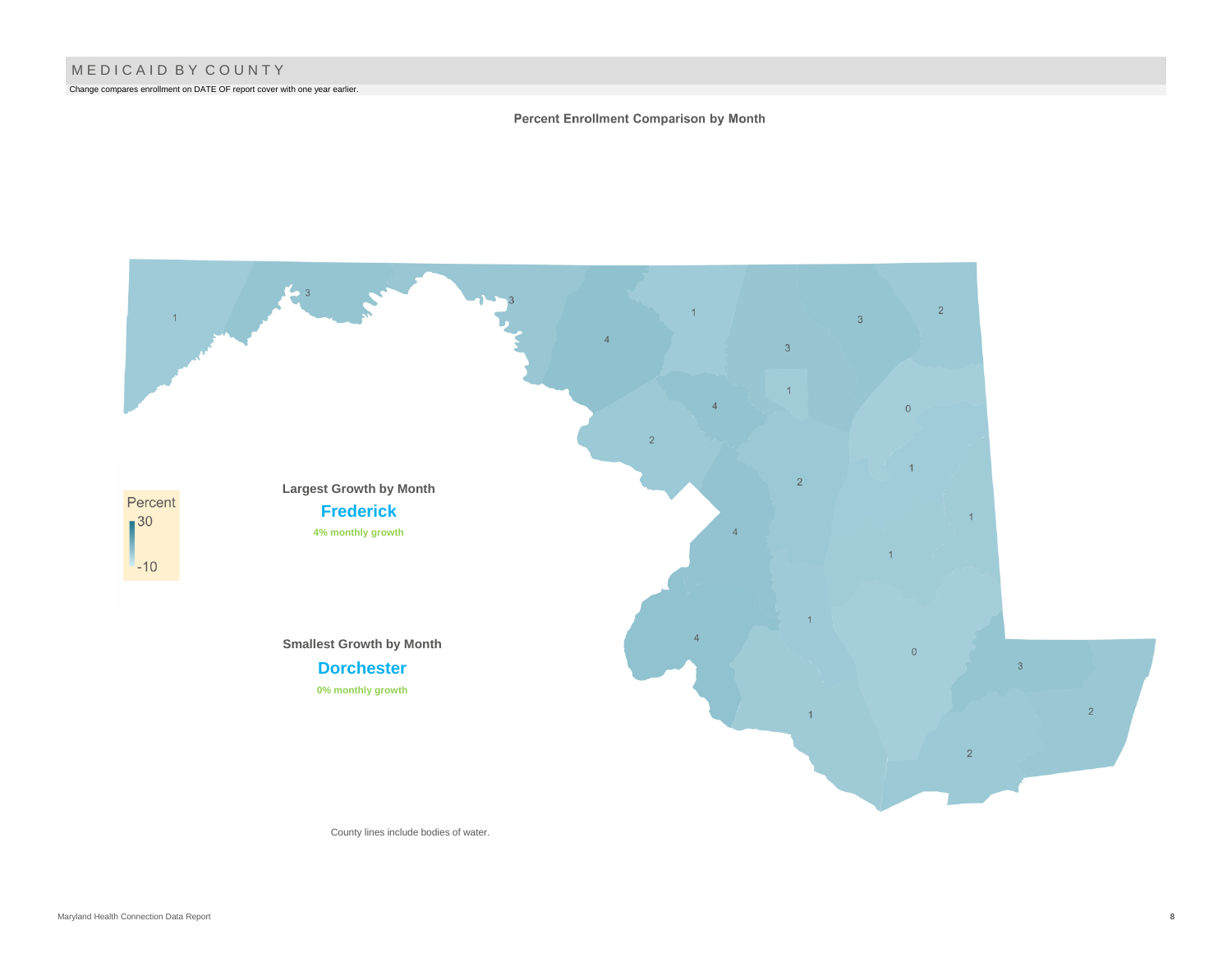Change compares enrollment on DATE OF report cover with one year earlier.

#### Percent Enrollment Comparison by Month



County lines include bodies of water.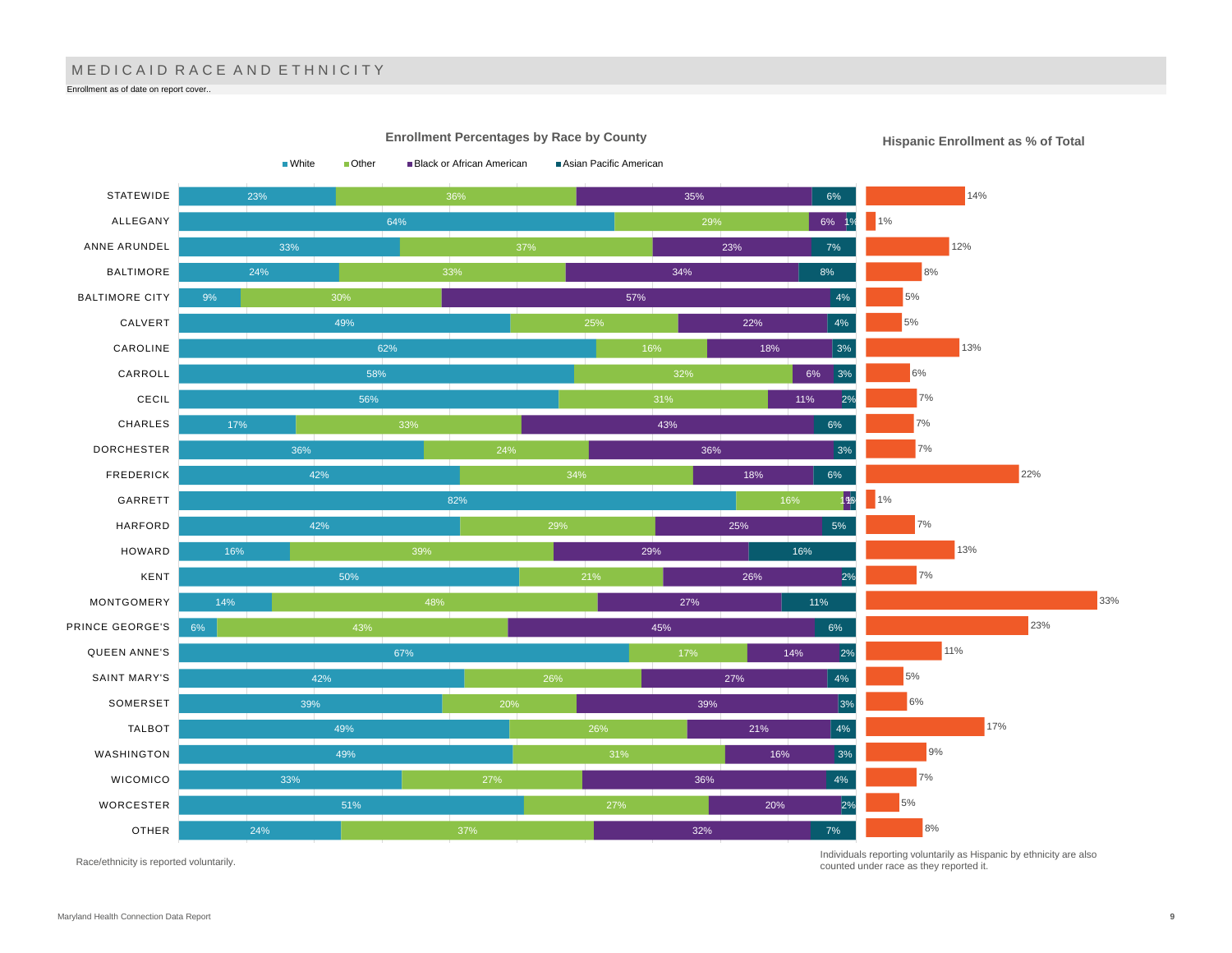# M E D I C A I D R A C E A N D E T H N I C I T Y

Enrollment as of date on report cover..



**Hispanic Enrollment as % of Total**

Race/ethnicity is reported voluntarily.

Individuals reporting voluntarily as Hispanic by ethnicity are also counted under race as they reported it.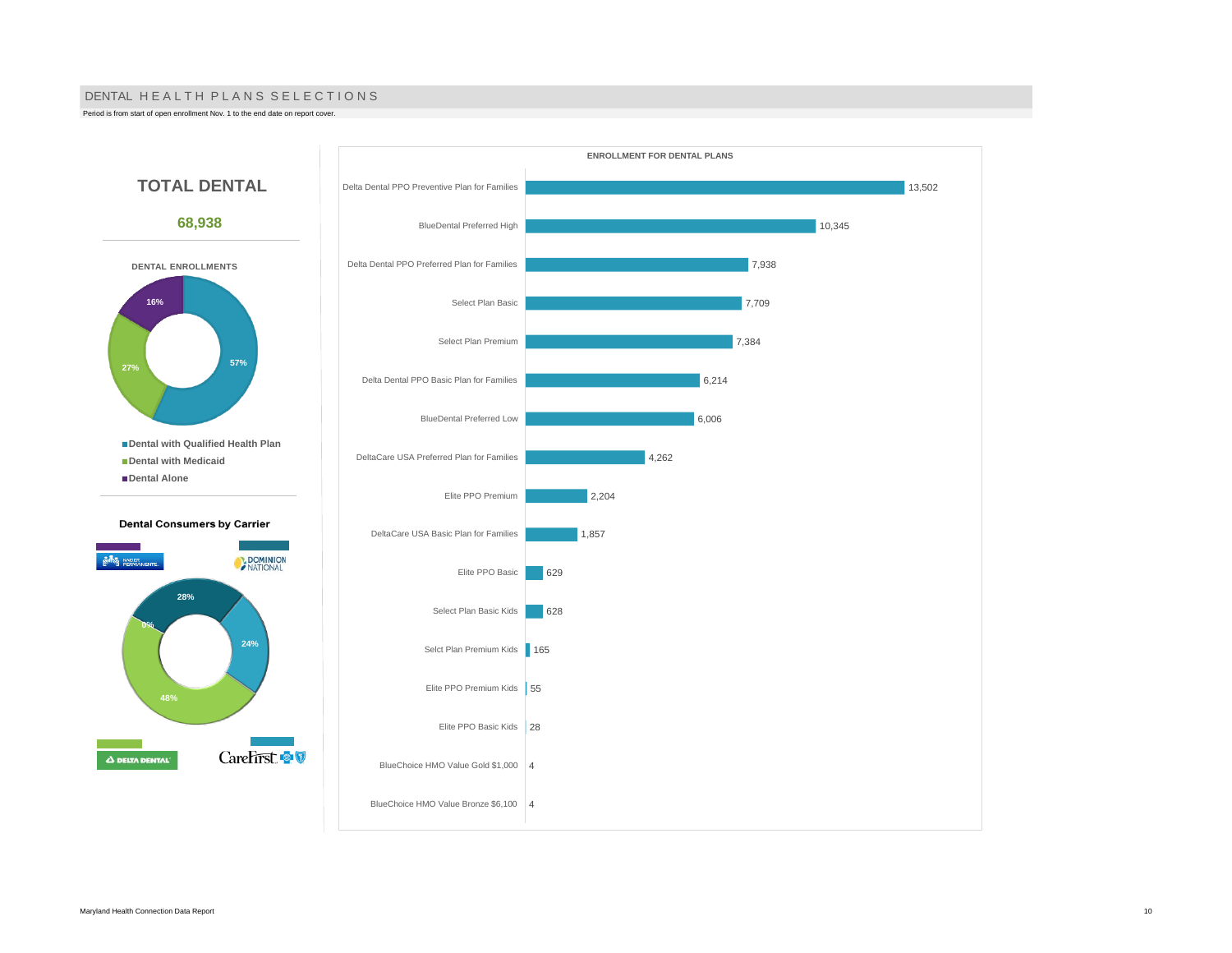#### DENTAL HE A L TH PLANS SELECTIONS

Period is from start of open enrollment Nov. 1 to the end date on report cover.

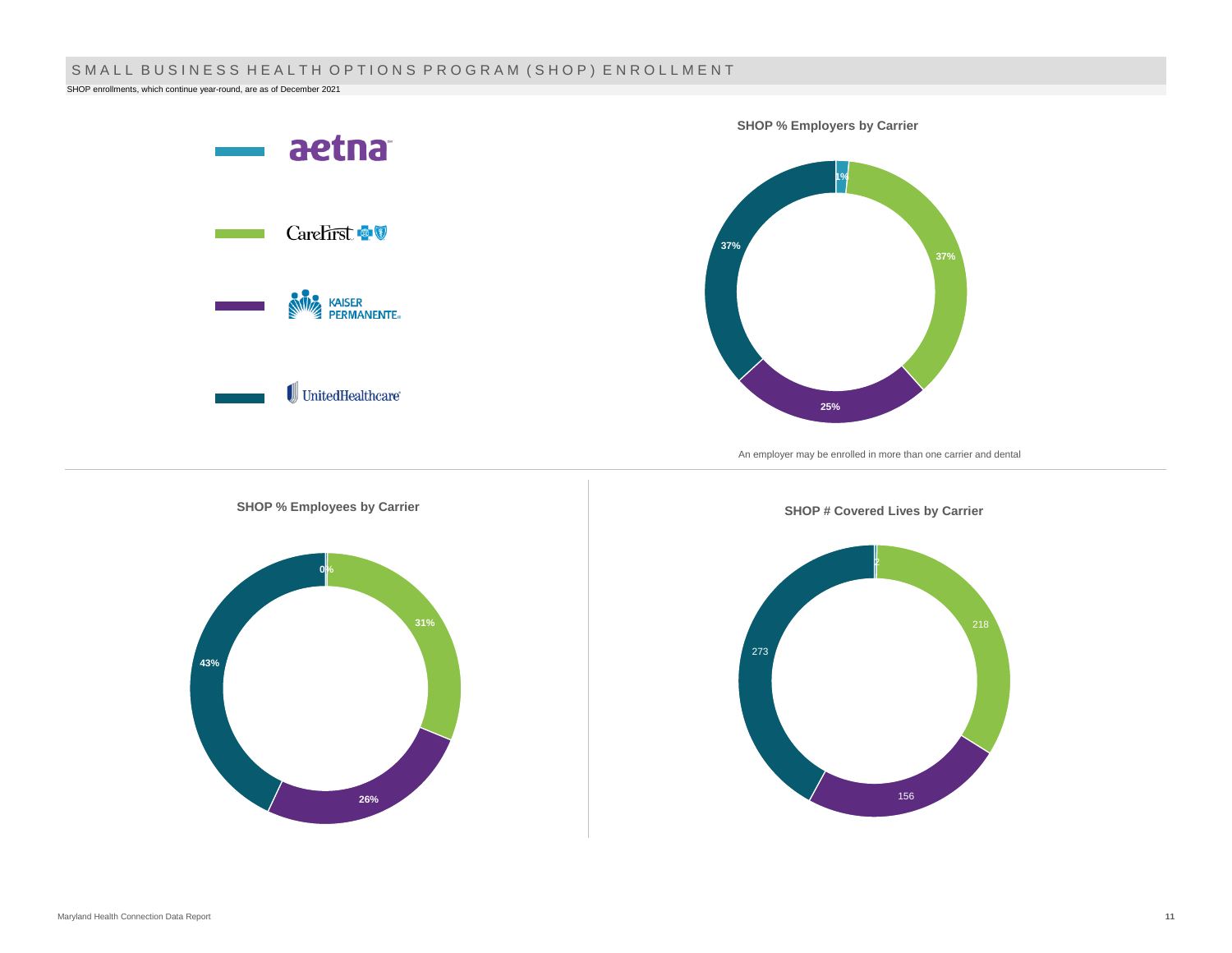# SMALL BUSINESS HEALTH OPTIONS PROGRAM (SHOP) ENROLLMENT

SHOP enrollments, which continue year-round, are as of December 2021

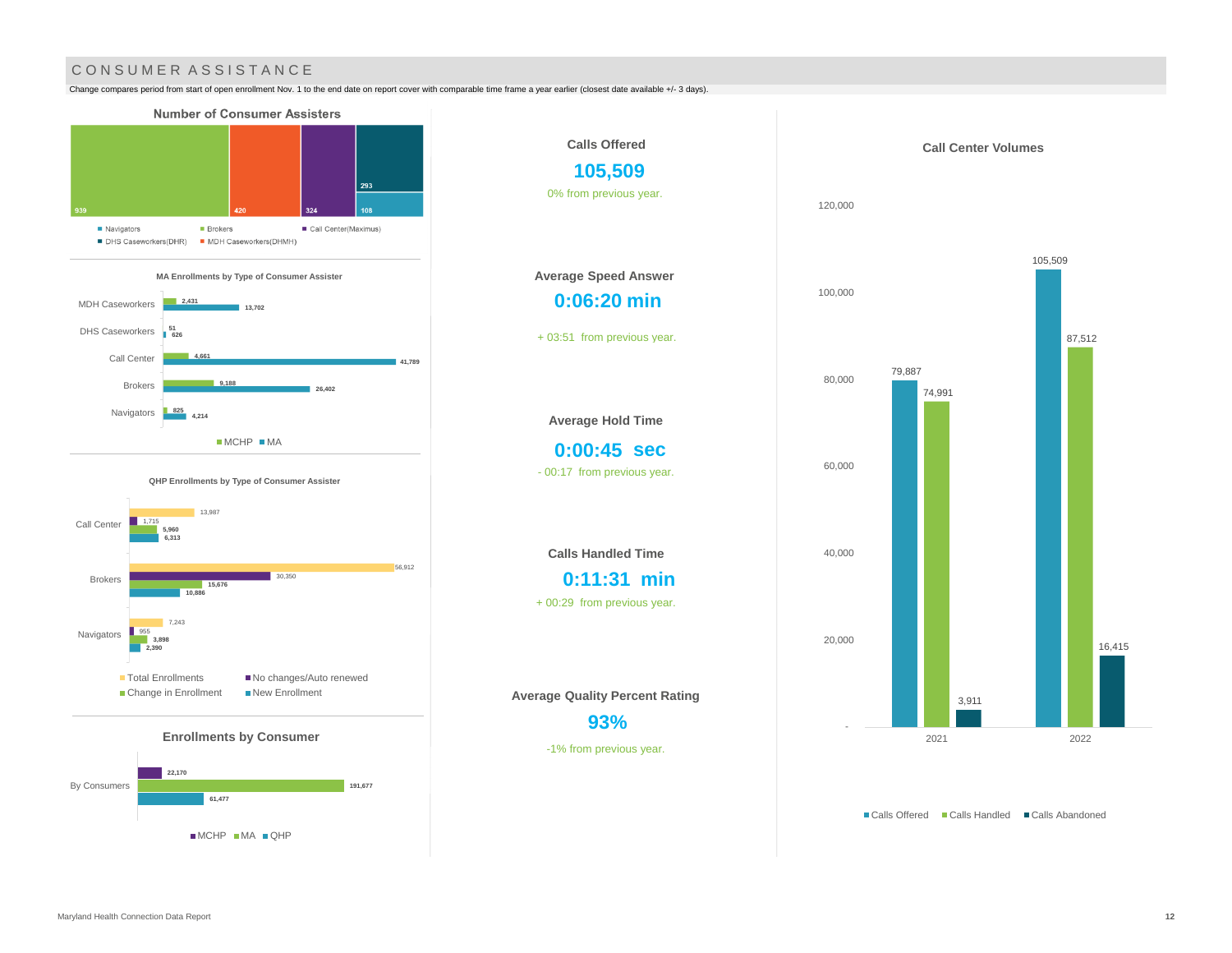## CONSUMER ASSISTANCE

Change compares period from start of open enrollment Nov. 1 to the end date on report cover with comparable time frame a year earlier (closest date available +/- 3 days).



MCHP MA QHP





■ Calls Offered ■ Calls Handled ■ Calls Abandoned